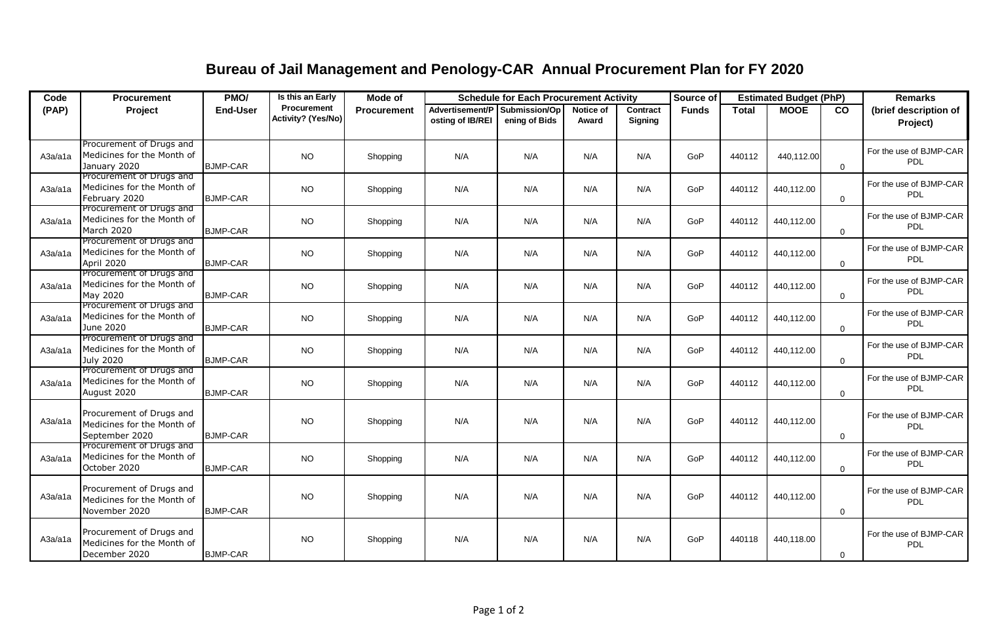## **Bureau of Jail Management and Penology-CAR Annual Procurement Plan for FY 2020**

| Code    | <b>Procurement</b>                                                       | PMO/            | Is this an Early                         | Mode of            | <b>Schedule for Each Procurement Activity</b> |                                |                    | Source of                  | <b>Estimated Budget (PhP)</b> |              |             | <b>Remarks</b> |                                       |
|---------|--------------------------------------------------------------------------|-----------------|------------------------------------------|--------------------|-----------------------------------------------|--------------------------------|--------------------|----------------------------|-------------------------------|--------------|-------------|----------------|---------------------------------------|
| (PAP)   | Project                                                                  | <b>End-User</b> | <b>Procurement</b><br>Activity? (Yes/No) | <b>Procurement</b> | Advertisement/P<br>osting of IB/REI           | Submission/Op<br>ening of Bids | Notice of<br>Award | Contract<br><b>Signing</b> | <b>Funds</b>                  | <b>Total</b> | <b>MOOE</b> | co             | (brief description of<br>Project)     |
| A3a/a1a | Procurement of Drugs and<br>Medicines for the Month of<br>January 2020   | <b>BJMP-CAR</b> | NO.                                      | Shopping           | N/A                                           | N/A                            | N/A                | N/A                        | GoP                           | 440112       | 440,112.00  | $\Omega$       | For the use of BJMP-CAR<br>PDL        |
| A3a/a1a | Procurement of Drugs and<br>Medicines for the Month of<br>February 2020  | <b>BJMP-CAR</b> | NO.                                      | Shopping           | N/A                                           | N/A                            | N/A                | N/A                        | GoP                           | 440112       | 440,112.00  | $\Omega$       | For the use of BJMP-CAR<br>PDL        |
| A3a/a1a | Procurement of Drugs and<br>Medicines for the Month of<br>March 2020     | <b>BJMP-CAR</b> | NO.                                      | Shopping           | N/A                                           | N/A                            | N/A                | N/A                        | GoP                           | 440112       | 440,112.00  | $\Omega$       | For the use of BJMP-CAR<br>PDL        |
| A3a/a1a | Procurement of Drugs and<br>Medicines for the Month of<br>April 2020     | <b>BJMP-CAR</b> | <b>NO</b>                                | Shopping           | N/A                                           | N/A                            | N/A                | N/A                        | GoP                           | 440112       | 440,112.00  | $\Omega$       | For the use of BJMP-CAR<br>PDL        |
| A3a/a1a | Procurement of Drugs and<br>Medicines for the Month of<br>May 2020       | <b>BJMP-CAR</b> | NO.                                      | Shopping           | N/A                                           | N/A                            | N/A                | N/A                        | GoP                           | 440112       | 440,112.00  | $\Omega$       | For the use of BJMP-CAR<br><b>PDL</b> |
| A3a/a1a | Procurement of Drugs and<br>Medicines for the Month of<br>June 2020      | <b>BJMP-CAR</b> | <b>NO</b>                                | Shopping           | N/A                                           | N/A                            | N/A                | N/A                        | GoP                           | 440112       | 440,112.00  | $\Omega$       | For the use of BJMP-CAR<br><b>PDL</b> |
| A3a/a1a | Procurement of Drugs and<br>Medicines for the Month of<br>July 2020      | <b>BJMP-CAR</b> | NO.                                      | Shopping           | N/A                                           | N/A                            | N/A                | N/A                        | GoP                           | 440112       | 440,112.00  | $\Omega$       | For the use of BJMP-CAR<br>PDL        |
| A3a/a1a | Procurement of Drugs and<br>Medicines for the Month of<br>August 2020    | <b>BJMP-CAR</b> | NO.                                      | Shopping           | N/A                                           | N/A                            | N/A                | N/A                        | GoP                           | 440112       | 440,112.00  | $\Omega$       | For the use of BJMP-CAR<br><b>PDL</b> |
| A3a/a1a | Procurement of Drugs and<br>Medicines for the Month of<br>September 2020 | <b>BJMP-CAR</b> | NO.                                      | Shopping           | N/A                                           | N/A                            | N/A                | N/A                        | GoP                           | 440112       | 440,112.00  | $\Omega$       | For the use of BJMP-CAR<br>PDL        |
| A3a/a1a | Procurement of Drugs and<br>Medicines for the Month of<br>October 2020   | <b>BJMP-CAR</b> | NO.                                      | Shopping           | N/A                                           | N/A                            | N/A                | N/A                        | GoP                           | 440112       | 440,112.00  | $\Omega$       | For the use of BJMP-CAR<br><b>PDL</b> |
| A3a/a1a | Procurement of Drugs and<br>Medicines for the Month of<br>November 2020  | <b>BJMP-CAR</b> | <b>NO</b>                                | Shopping           | N/A                                           | N/A                            | N/A                | N/A                        | GoP                           | 440112       | 440,112.00  | $\Omega$       | For the use of BJMP-CAR<br><b>PDL</b> |
| A3a/a1a | Procurement of Drugs and<br>Medicines for the Month of<br>December 2020  | <b>BJMP-CAR</b> | NO.                                      | Shopping           | N/A                                           | N/A                            | N/A                | N/A                        | GoP                           | 440118       | 440,118.00  | 0              | For the use of BJMP-CAR<br>PDL        |